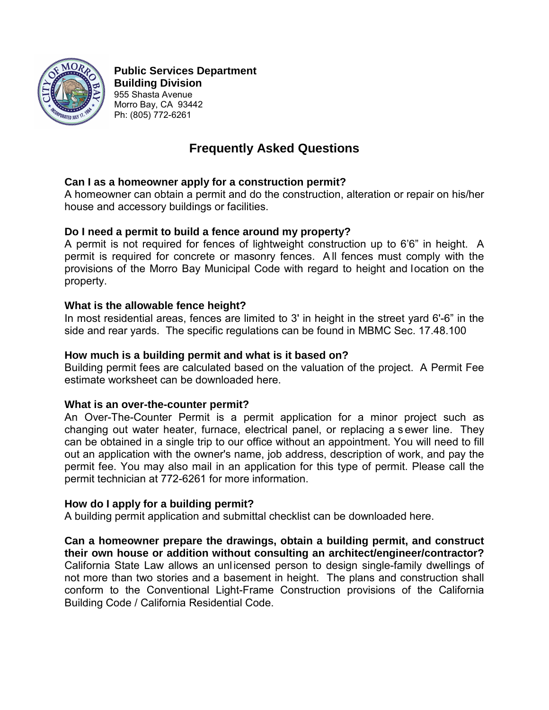

 **Public Services Department Building Division** 955 Shasta Avenue Morro Bay, CA 93442 Ph: (805) 772-6261

# **Frequently Asked Questions**

## **Can I as a homeowner apply for a construction permit?**

A homeowner can obtain a permit and do the construction, alteration or repair on his/her house and accessory buildings or facilities.

## **Do I need a permit to build a fence around my property?**

A permit is not required for fences of lightweight construction up to 6'6" in height. A permit is required for concrete or masonry fences. A ll fences must comply with the provisions of the Morro Bay Municipal Code with regard to height and location on the property.

## **What is the allowable fence height?**

In most residential areas, fences are limited to 3' in height in the street yard 6'-6" in the side and rear yards. The specific regulations can be found in MBMC Sec. 17.48.100

#### **How much is a building permit and what is it based on?**

Building permit fees are calculated based on the valuation of the project. A Permit Fee estimate worksheet can be downloaded here.

#### **What is an over-the-counter permit?**

An Over-The-Counter Permit is a permit application for a minor project such as changing out water heater, furnace, electrical panel, or replacing a s ewer line. They can be obtained in a single trip to our office without an appointment. You will need to fill out an application with the owner's name, job address, description of work, and pay the permit fee. You may also mail in an application for this type of permit. Please call the permit technician at 772-6261 for more information.

#### **How do I apply for a building permit?**

A building permit application and submittal checklist can be downloaded here.

**Can a homeowner prepare the drawings, obtain a building permit, and construct their own house or addition without consulting an architect/engineer/contractor?** California State Law allows an unlicensed person to design single-family dwellings of not more than two stories and a basement in height. The plans and construction shall conform to the Conventional Light-Frame Construction provisions of the California Building Code / California Residential Code.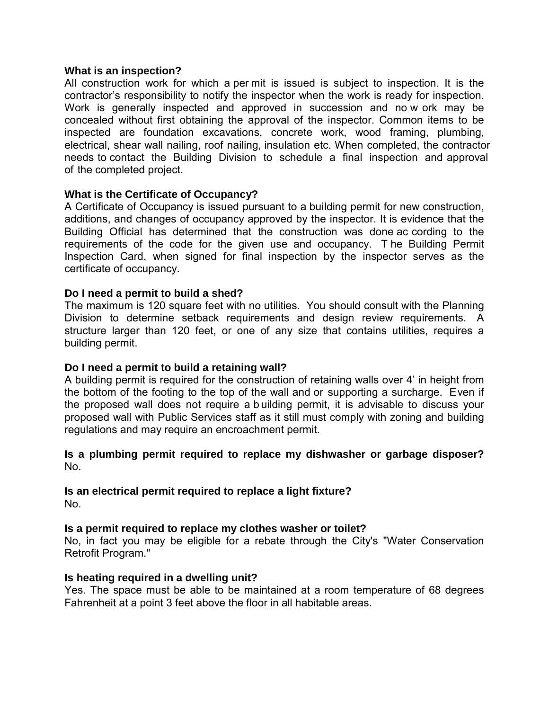#### **What is an inspection?**

All construction work for which a per mit is issued is subject to inspection. It is the contractor's responsibility to notify the inspector when the work is ready for inspection. Work is generally inspected and approved in succession and no w ork may be concealed without first obtaining the approval of the inspector. Common items to be inspected are foundation excavations, concrete work, wood framing, plumbing, electrical, shear wall nailing, roof nailing, insulation etc. When completed, the contractor needs to contact the Building Division to schedule a final inspection and approval of the completed project.

## **What is the Certificate of Occupancy?**

A Certificate of Occupancy is issued pursuant to a building permit for new construction, additions, and changes of occupancy approved by the inspector. It is evidence that the Building Official has determined that the construction was done ac cording to the requirements of the code for the given use and occupancy. T he Building Permit Inspection Card, when signed for final inspection by the inspector serves as the certificate of occupancy.

## **Do I need a permit to build a shed?**

The maximum is 120 square feet with no utilities. You should consult with the Planning Division to determine setback requirements and design review requirements. A structure larger than 120 feet, or one of any size that contains utilities, requires a building permit.

## **Do I need a permit to build a retaining wall?**

A building permit is required for the construction of retaining walls over 4' in height from the bottom of the footing to the top of the wall and or supporting a surcharge. Even if the proposed wall does not require a b uilding permit, it is advisable to discuss your proposed wall with Public Services staff as it still must comply with zoning and building regulations and may require an encroachment permit.

#### **Is a plumbing permit required to replace my dishwasher or garbage disposer?** No.

#### **Is an electrical permit required to replace a light fixture?** No.

## **Is a permit required to replace my clothes washer or toilet?**

No, in fact you may be eligible for a rebate through the City's "Water Conservation Retrofit Program."

#### **Is heating required in a dwelling unit?**

Yes. The space must be able to be maintained at a room temperature of 68 degrees Fahrenheit at a point 3 feet above the floor in all habitable areas.